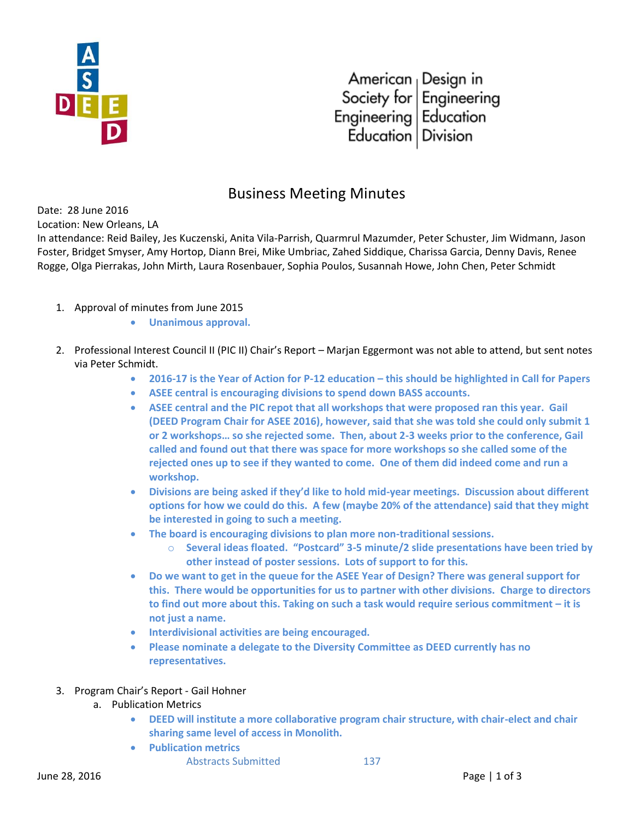

American Design in<br>Society for Engineering<br>Engineering Education Education | Division

## Business Meeting Minutes

Date: 28 June 2016

Location: New Orleans, LA

In attendance: Reid Bailey, Jes Kuczenski, Anita Vila-Parrish, Quarmrul Mazumder, Peter Schuster, Jim Widmann, Jason Foster, Bridget Smyser, Amy Hortop, Diann Brei, Mike Umbriac, Zahed Siddique, Charissa Garcia, Denny Davis, Renee Rogge, Olga Pierrakas, John Mirth, Laura Rosenbauer, Sophia Poulos, Susannah Howe, John Chen, Peter Schmidt

- 1. Approval of minutes from June 2015
	- **Unanimous approval.**
- 2. Professional Interest Council II (PIC II) Chair's Report Marjan Eggermont was not able to attend, but sent notes via Peter Schmidt.
	- **2016-17 is the Year of Action for P-12 education this should be highlighted in Call for Papers**
	- **ASEE central is encouraging divisions to spend down BASS accounts.**
	- **ASEE central and the PIC repot that all workshops that were proposed ran this year. Gail (DEED Program Chair for ASEE 2016), however, said that she was told she could only submit 1 or 2 workshops… so she rejected some. Then, about 2-3 weeks prior to the conference, Gail called and found out that there was space for more workshops so she called some of the rejected ones up to see if they wanted to come. One of them did indeed come and run a workshop.**
	- **Divisions are being asked if they'd like to hold mid-year meetings. Discussion about different options for how we could do this. A few (maybe 20% of the attendance) said that they might be interested in going to such a meeting.**
	- **The board is encouraging divisions to plan more non-traditional sessions.** 
		- o **Several ideas floated. "Postcard" 3-5 minute/2 slide presentations have been tried by other instead of poster sessions. Lots of support to for this.**
	- **Do we want to get in the queue for the ASEE Year of Design? There was general support for this. There would be opportunities for us to partner with other divisions. Charge to directors to find out more about this. Taking on such a task would require serious commitment – it is not just a name.**
	- **Interdivisional activities are being encouraged.**
	- **Please nominate a delegate to the Diversity Committee as DEED currently has no representatives.**
- 3. Program Chair's Report Gail Hohner
	- a. Publication Metrics
		- **DEED will institute a more collaborative program chair structure, with chair-elect and chair sharing same level of access in Monolith.**
		- **Publication metrics**
			- Abstracts Submitted 137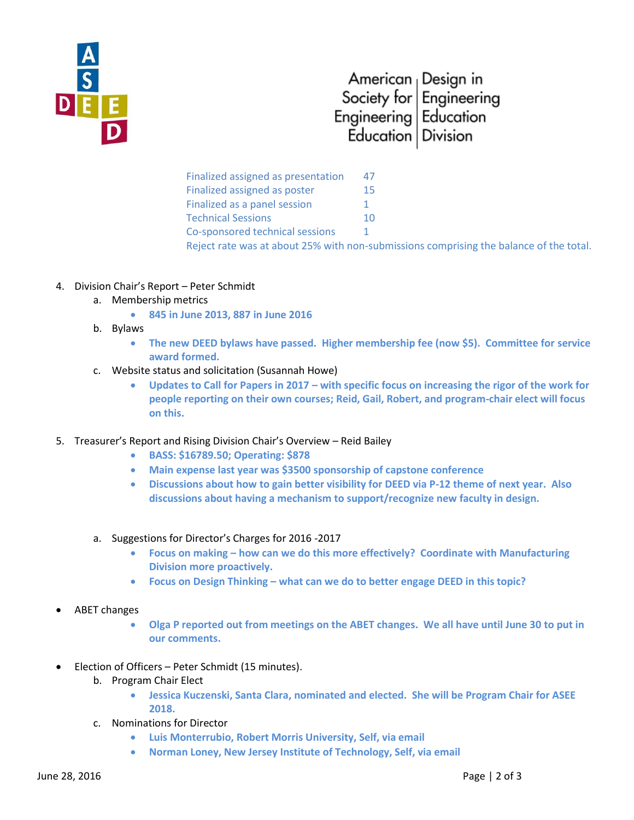

## American <sub>|</sub> Design in Society for  $F$ ngineering Engineering Education Education | Division

Finalized assigned as presentation 47 Finalized assigned as poster 15 Finalized as a panel session 1 Technical Sessions 10 Co-sponsored technical sessions 1 Reject rate was at about 25% with non-submissions comprising the balance of the total.

- 4. Division Chair's Report Peter Schmidt
	- a. Membership metrics
		- **845 in June 2013, 887 in June 2016**
	- b. Bylaws
		- **The new DEED bylaws have passed. Higher membership fee (now \$5). Committee for service award formed.**
	- c. Website status and solicitation (Susannah Howe)
		- **Updates to Call for Papers in 2017 – with specific focus on increasing the rigor of the work for people reporting on their own courses; Reid, Gail, Robert, and program-chair elect will focus on this.**
- 5. Treasurer's Report and Rising Division Chair's Overview Reid Bailey
	- **BASS: \$16789.50; Operating: \$878**
	- **Main expense last year was \$3500 sponsorship of capstone conference**
	- **Discussions about how to gain better visibility for DEED via P-12 theme of next year. Also discussions about having a mechanism to support/recognize new faculty in design.**
	- a. Suggestions for Director's Charges for 2016 -2017
		- **Focus on making – how can we do this more effectively? Coordinate with Manufacturing Division more proactively.**
		- **Focus on Design Thinking – what can we do to better engage DEED in this topic?**
- ABET changes
	- **Olga P reported out from meetings on the ABET changes. We all have until June 30 to put in our comments.**
- Election of Officers Peter Schmidt (15 minutes).
	- b. Program Chair Elect
		- **Jessica Kuczenski, Santa Clara, nominated and elected. She will be Program Chair for ASEE 2018.**
	- c. Nominations for Director
		- **Luis Monterrubio, Robert Morris University, Self, via email**
		- **Norman Loney, New Jersey Institute of Technology, Self, via email**